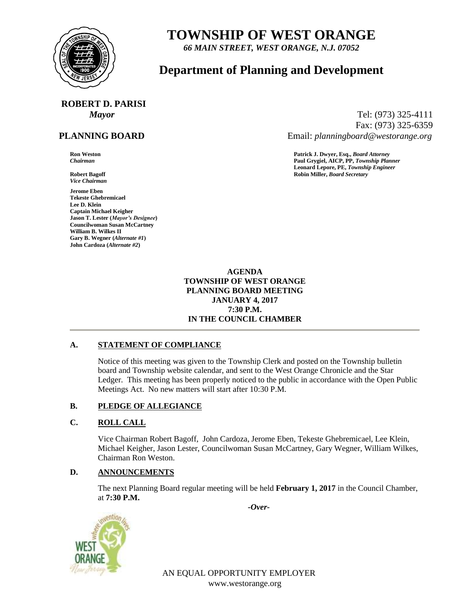

## **TOWNSHIP OF WEST ORANGE**

*66 MAIN STREET, WEST ORANGE, N.J. 07052*

## **Department of Planning and Development**

# **ROBERT D. PARISI**

### **PLANNING BOARD**

*Vice Chairman*

**Jerome Eben Tekeste Ghebremicael Lee D. Klein Captain Michael Keigher Jason T. Lester (***Mayor's Designee***) Councilwoman Susan McCartney William B. Wilkes II Gary B. Wegner (***Alternate #1***) John Cardoza (***Alternate #2***)**

*Mayor* Tel: (973) 325-4111 Fax: (973) 325-6359 Email: *planningboard@westorange.org*

**Ron Weston Patrick J. Dwyer, Esq.,** *Board Attorney Chairman* **Paul Grygiel, AICP, PP,** *Township Planner* **Leonard Lepore, PE,** *Township Engineer* **Robert Bagoff Robin Miller,** *Board Secretary*

> **AGENDA TOWNSHIP OF WEST ORANGE PLANNING BOARD MEETING JANUARY 4, 2017 7:30 P.M. IN THE COUNCIL CHAMBER**

#### **A. STATEMENT OF COMPLIANCE**

Notice of this meeting was given to the Township Clerk and posted on the Township bulletin board and Township website calendar, and sent to the West Orange Chronicle and the Star Ledger. This meeting has been properly noticed to the public in accordance with the Open Public Meetings Act. No new matters will start after 10:30 P.M.

#### **B. PLEDGE OF ALLEGIANCE**

#### **C. ROLL CALL**

Vice Chairman Robert Bagoff, John Cardoza, Jerome Eben, Tekeste Ghebremicael, Lee Klein, Michael Keigher, Jason Lester, Councilwoman Susan McCartney, Gary Wegner, William Wilkes, Chairman Ron Weston.

#### **D. ANNOUNCEMENTS**

The next Planning Board regular meeting will be held **February 1, 2017** in the Council Chamber, at **7:30 P.M.**

*-Over-*



AN EQUAL OPPORTUNITY EMPLOYER www.westorange.org